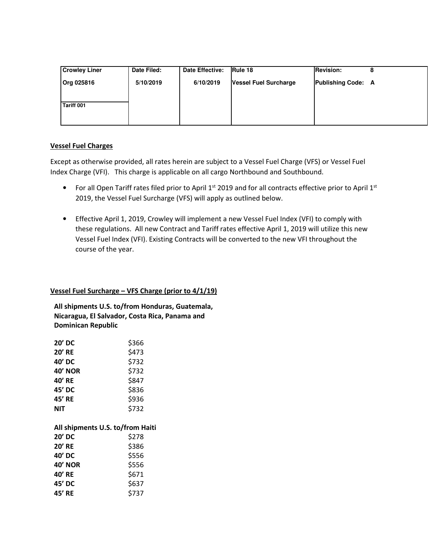| <b>Crowley Liner</b> | Date Filed: | Date Effective: | Rule 18                      | <b>Revision:</b>          |  |
|----------------------|-------------|-----------------|------------------------------|---------------------------|--|
| <b>Org 025816</b>    | 5/10/2019   | 6/10/2019       | <b>Vessel Fuel Surcharge</b> | <b>Publishing Code: A</b> |  |
|                      |             |                 |                              |                           |  |
| Tariff 001           |             |                 |                              |                           |  |
|                      |             |                 |                              |                           |  |
|                      |             |                 |                              |                           |  |

### **Vessel Fuel Charges**

Except as otherwise provided, all rates herein are subject to a Vessel Fuel Charge (VFS) or Vessel Fuel Index Charge (VFI). This charge is applicable on all cargo Northbound and Southbound.

- For all Open Tariff rates filed prior to April 1<sup>st</sup> 2019 and for all contracts effective prior to April 1<sup>st</sup> 2019, the Vessel Fuel Surcharge (VFS) will apply as outlined below.
- Effective April 1, 2019, Crowley will implement a new Vessel Fuel Index (VFI) to comply with these regulations. All new Contract and Tariff rates effective April 1, 2019 will utilize this new Vessel Fuel Index (VFI). Existing Contracts will be converted to the new VFI throughout the course of the year.

## **Vessel Fuel Surcharge – VFS Charge (prior to 4/1/19)**

**All shipments U.S. to/from Honduras, Guatemala, Nicaragua, El Salvador, Costa Rica, Panama and Dominican Republic** 

| 20' DC                           | \$366 |
|----------------------------------|-------|
| <b>20' RE</b>                    | \$473 |
| 40' DC                           | \$732 |
| 40' NOR                          | \$732 |
| 40' RE                           | \$847 |
| 45' DC                           | \$836 |
| 45' RE                           | \$936 |
| NIT                              | \$732 |
|                                  |       |
|                                  |       |
| All shipments U.S. to/from Haiti |       |
| $20'$ DC                         | \$278 |
| <b>20' RE</b>                    | \$386 |
| 40' DC                           | \$556 |
| <b>40' NOR</b>                   | \$556 |
| 40' RE                           | \$671 |
| 45' DC                           | \$637 |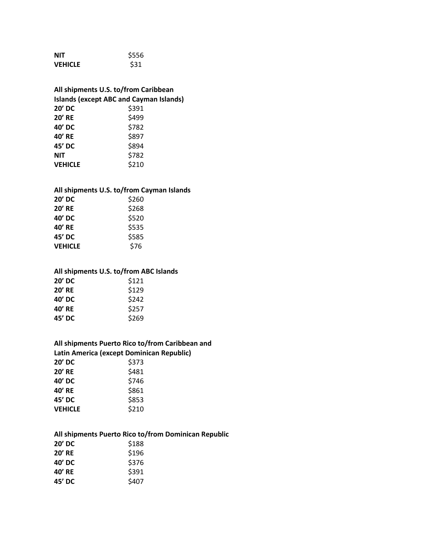| <b>NIT</b>     | \$556 |
|----------------|-------|
| <b>VEHICLE</b> | \$31  |

## **All shipments U.S. to/from Caribbean Islands (except ABC and Cayman Islands) 20' DC** \$391 **20'** RE \$499

| ャーン   |
|-------|
| \$782 |
| \$897 |
| \$894 |
| \$782 |
| \$210 |
|       |

#### **All shipments U.S. to/from Cayman Islands**

| 20' DC         | \$260 |
|----------------|-------|
| <b>20' RE</b>  | \$268 |
| 40' DC         | \$520 |
| 40' RE         | \$535 |
| 45' DC         | \$585 |
| <b>VEHICLE</b> | \$76  |

#### **All shipments U.S. to/from ABC Islands**

| $20'$ DC      | \$121 |
|---------------|-------|
| <b>20' RE</b> | \$129 |
| 40' DC        | \$242 |
| 40' RE        | \$257 |
| 45' DC        | \$269 |
|               |       |

# **All shipments Puerto Rico to/from Caribbean and**

| Latin America (except Dominican Republic) |       |  |
|-------------------------------------------|-------|--|
| 20' DC                                    | \$373 |  |
| <b>20' RE</b>                             | \$481 |  |
| 40' DC                                    | \$746 |  |
| 40' RE                                    | \$861 |  |
| 45' DC                                    | \$853 |  |
| <b>VEHICLE</b>                            | \$210 |  |
|                                           |       |  |

### **All shipments Puerto Rico to/from Dominican Republic**

| 20' DC        | \$188 |
|---------------|-------|
| <b>20' RE</b> | \$196 |
| 40' DC        | \$376 |
| 40' RE        | \$391 |
| 45' DC        | \$407 |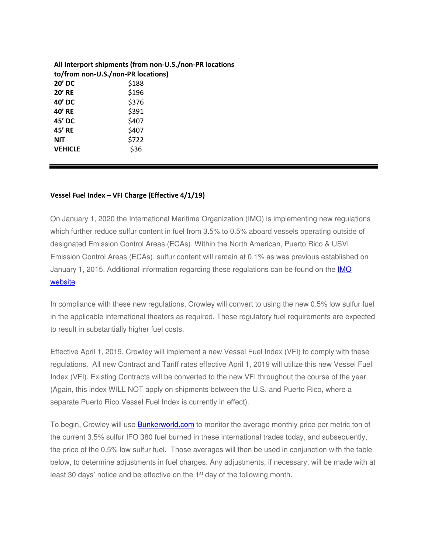|                                    | All Interport shipments (from non-U.S./non-PR locations |
|------------------------------------|---------------------------------------------------------|
| to/from non-U.S./non-PR locations) |                                                         |
| $20'$ DC                           | \$188                                                   |
| $20'$ RE                           | \$196                                                   |
| 40' DC                             | \$376                                                   |
| 40' RE                             | \$391                                                   |
| 45' DC                             | \$407                                                   |
| 45' RE                             | \$407                                                   |
| <b>NIT</b>                         | \$722                                                   |
| <b>VEHICLE</b>                     | \$36                                                    |

#### **Vessel Fuel Index – VFI Charge (Effective 4/1/19)**

On January 1, 2020 the International Maritime Organization (IMO) is implementing new regulations which further reduce sulfur content in fuel from 3.5% to 0.5% aboard vessels operating outside of designated Emission Control Areas (ECAs). Within the North American, Puerto Rico & USVI Emission Control Areas (ECAs), sulfur content will remain at 0.1% as was previous established on January 1, 2015. Additional information regarding these regulations can be found on the **IMO** website.

In compliance with these new regulations, Crowley will convert to using the new 0.5% low sulfur fuel in the applicable international theaters as required. These regulatory fuel requirements are expected to result in substantially higher fuel costs.

Effective April 1, 2019, Crowley will implement a new Vessel Fuel Index (VFI) to comply with these regulations. All new Contract and Tariff rates effective April 1, 2019 will utilize this new Vessel Fuel Index (VFI). Existing Contracts will be converted to the new VFI throughout the course of the year. (Again, this index WILL NOT apply on shipments between the U.S. and Puerto Rico, where a separate Puerto Rico Vessel Fuel Index is currently in effect).

To begin, Crowley will use **Bunkerworld.com** to monitor the average monthly price per metric ton of the current 3.5% sulfur IFO 380 fuel burned in these international trades today, and subsequently, the price of the 0.5% low sulfur fuel. Those averages will then be used in conjunction with the table below, to determine adjustments in fuel charges. Any adjustments, if necessary, will be made with at least 30 days' notice and be effective on the 1<sup>st</sup> day of the following month.